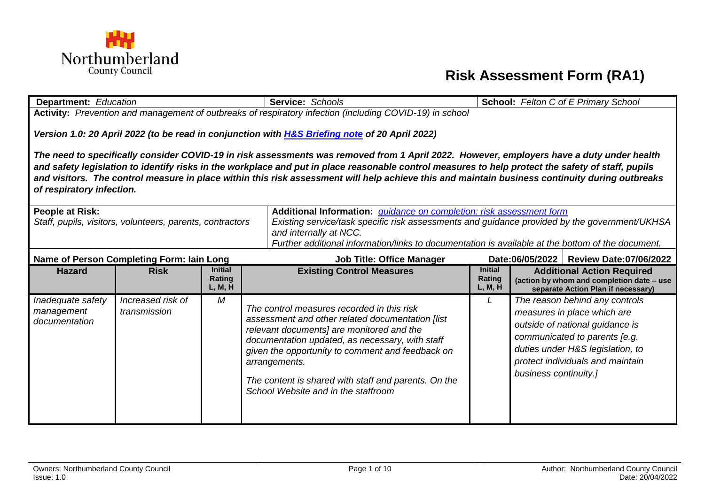

## **Risk Assessment Form (RA1)**

| <b>Department:</b> Education                                                                      |                                                                                                                                                                                                                                                                                                                                                                                                                                                                                 |                   | Service: Schools                                                                                         |                                                  | <b>School:</b> Felton C of E Primary School                                     |  |  |  |
|---------------------------------------------------------------------------------------------------|---------------------------------------------------------------------------------------------------------------------------------------------------------------------------------------------------------------------------------------------------------------------------------------------------------------------------------------------------------------------------------------------------------------------------------------------------------------------------------|-------------------|----------------------------------------------------------------------------------------------------------|--------------------------------------------------|---------------------------------------------------------------------------------|--|--|--|
|                                                                                                   |                                                                                                                                                                                                                                                                                                                                                                                                                                                                                 |                   | Activity: Prevention and management of outbreaks of respiratory infection (including COVID-19) in school |                                                  |                                                                                 |  |  |  |
| Version 1.0: 20 April 2022 (to be read in conjunction with H&S Briefing note of 20 April 2022)    |                                                                                                                                                                                                                                                                                                                                                                                                                                                                                 |                   |                                                                                                          |                                                  |                                                                                 |  |  |  |
|                                                                                                   | The need to specifically consider COVID-19 in risk assessments was removed from 1 April 2022. However, employers have a duty under health<br>and safety legislation to identify risks in the workplace and put in place reasonable control measures to help protect the safety of staff, pupils<br>and visitors. The control measure in place within this risk assessment will help achieve this and maintain business continuity during outbreaks<br>of respiratory infection. |                   |                                                                                                          |                                                  |                                                                                 |  |  |  |
| <b>People at Risk:</b>                                                                            |                                                                                                                                                                                                                                                                                                                                                                                                                                                                                 |                   | Additional Information: <i>guidance on completion: risk assessment form</i>                              |                                                  |                                                                                 |  |  |  |
|                                                                                                   | Staff, pupils, visitors, volunteers, parents, contractors                                                                                                                                                                                                                                                                                                                                                                                                                       |                   | Existing service/task specific risk assessments and guidance provided by the government/UKHSA            |                                                  |                                                                                 |  |  |  |
|                                                                                                   | and internally at NCC.                                                                                                                                                                                                                                                                                                                                                                                                                                                          |                   |                                                                                                          |                                                  |                                                                                 |  |  |  |
| Further additional information/links to documentation is available at the bottom of the document. |                                                                                                                                                                                                                                                                                                                                                                                                                                                                                 |                   |                                                                                                          |                                                  |                                                                                 |  |  |  |
|                                                                                                   | Name of Person Completing Form: Iain Long                                                                                                                                                                                                                                                                                                                                                                                                                                       |                   | <b>Job Title: Office Manager</b>                                                                         | Date:06/05/2022<br><b>Review Date:07/06/2022</b> |                                                                                 |  |  |  |
| <b>Hazard</b>                                                                                     | <b>Risk</b>                                                                                                                                                                                                                                                                                                                                                                                                                                                                     | <b>Initial</b>    | <b>Existing Control Measures</b>                                                                         | <b>Initial</b>                                   | <b>Additional Action Required</b>                                               |  |  |  |
|                                                                                                   |                                                                                                                                                                                                                                                                                                                                                                                                                                                                                 | Rating<br>L, M, H |                                                                                                          | Rating<br>L, M, H                                | (action by whom and completion date - use<br>separate Action Plan if necessary) |  |  |  |
| Inadequate safety                                                                                 | Increased risk of                                                                                                                                                                                                                                                                                                                                                                                                                                                               | M                 |                                                                                                          | L                                                | The reason behind any controls                                                  |  |  |  |
| management                                                                                        | transmission                                                                                                                                                                                                                                                                                                                                                                                                                                                                    |                   | The control measures recorded in this risk                                                               |                                                  | measures in place which are                                                     |  |  |  |
| documentation                                                                                     |                                                                                                                                                                                                                                                                                                                                                                                                                                                                                 |                   | assessment and other related documentation [list<br>relevant documents] are monitored and the            |                                                  | outside of national guidance is                                                 |  |  |  |
|                                                                                                   |                                                                                                                                                                                                                                                                                                                                                                                                                                                                                 |                   | documentation updated, as necessary, with staff                                                          |                                                  | communicated to parents [e.g.                                                   |  |  |  |
|                                                                                                   |                                                                                                                                                                                                                                                                                                                                                                                                                                                                                 |                   | given the opportunity to comment and feedback on                                                         |                                                  | duties under H&S legislation, to                                                |  |  |  |
|                                                                                                   |                                                                                                                                                                                                                                                                                                                                                                                                                                                                                 |                   | arrangements.                                                                                            |                                                  | protect individuals and maintain                                                |  |  |  |
|                                                                                                   |                                                                                                                                                                                                                                                                                                                                                                                                                                                                                 |                   | The content is shared with staff and parents. On the                                                     |                                                  | business continuity.]                                                           |  |  |  |
|                                                                                                   |                                                                                                                                                                                                                                                                                                                                                                                                                                                                                 |                   | School Website and in the staffroom                                                                      |                                                  |                                                                                 |  |  |  |
|                                                                                                   |                                                                                                                                                                                                                                                                                                                                                                                                                                                                                 |                   |                                                                                                          |                                                  |                                                                                 |  |  |  |
|                                                                                                   |                                                                                                                                                                                                                                                                                                                                                                                                                                                                                 |                   |                                                                                                          |                                                  |                                                                                 |  |  |  |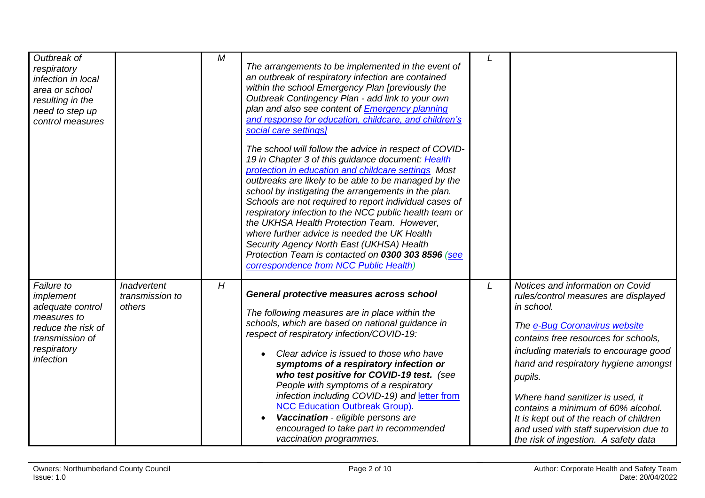| Outbreak of<br>respiratory<br>infection in local<br>area or school<br>resulting in the<br>need to step up<br>control measures   |                                          | М              | The arrangements to be implemented in the event of<br>an outbreak of respiratory infection are contained<br>within the school Emergency Plan [previously the<br>Outbreak Contingency Plan - add link to your own<br>plan and also see content of <b>Emergency planning</b><br>and response for education, childcare, and children's<br>social care settings]<br>The school will follow the advice in respect of COVID-<br>19 in Chapter 3 of this guidance document: Health<br>protection in education and childcare settings Most<br>outbreaks are likely to be able to be managed by the<br>school by instigating the arrangements in the plan.<br>Schools are not required to report individual cases of<br>respiratory infection to the NCC public health team or<br>the UKHSA Health Protection Team. However,<br>where further advice is needed the UK Health<br>Security Agency North East (UKHSA) Health<br>Protection Team is contacted on 0300 303 8596 (see<br>correspondence from NCC Public Health) |                                                                                                                                                                                                                                                                                                                                                                                                                                                                    |
|---------------------------------------------------------------------------------------------------------------------------------|------------------------------------------|----------------|------------------------------------------------------------------------------------------------------------------------------------------------------------------------------------------------------------------------------------------------------------------------------------------------------------------------------------------------------------------------------------------------------------------------------------------------------------------------------------------------------------------------------------------------------------------------------------------------------------------------------------------------------------------------------------------------------------------------------------------------------------------------------------------------------------------------------------------------------------------------------------------------------------------------------------------------------------------------------------------------------------------|--------------------------------------------------------------------------------------------------------------------------------------------------------------------------------------------------------------------------------------------------------------------------------------------------------------------------------------------------------------------------------------------------------------------------------------------------------------------|
| Failure to<br>implement<br>adequate control<br>measures to<br>reduce the risk of<br>transmission of<br>respiratory<br>infection | Inadvertent<br>transmission to<br>others | $\overline{H}$ | General protective measures across school<br>The following measures are in place within the<br>schools, which are based on national guidance in<br>respect of respiratory infection/COVID-19:<br>Clear advice is issued to those who have<br>symptoms of a respiratory infection or<br>who test positive for COVID-19 test. (see<br>People with symptoms of a respiratory<br>infection including COVID-19) and letter from<br><b>NCC Education Outbreak Group).</b><br>Vaccination - eligible persons are<br>encouraged to take part in recommended<br>vaccination programmes.                                                                                                                                                                                                                                                                                                                                                                                                                                   | Notices and information on Covid<br>rules/control measures are displayed<br>in school.<br>The e-Bug Coronavirus website<br>contains free resources for schools,<br>including materials to encourage good<br>hand and respiratory hygiene amongst<br>pupils.<br>Where hand sanitizer is used, it<br>contains a minimum of 60% alcohol.<br>It is kept out of the reach of children<br>and used with staff supervision due to<br>the risk of ingestion. A safety data |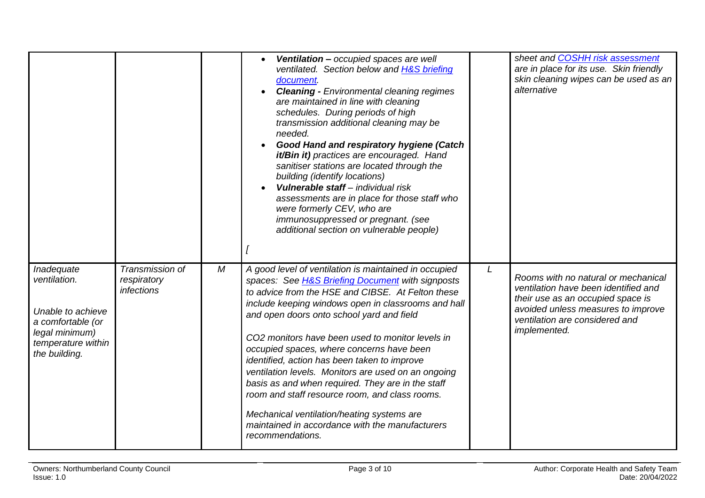|                                                                                                                               |                                                     |   | Ventilation - occupied spaces are well<br>ventilated. Section below and H&S briefing<br>document.<br><b>Cleaning - Environmental cleaning regimes</b><br>are maintained in line with cleaning<br>schedules. During periods of high<br>transmission additional cleaning may be<br>needed.<br><b>Good Hand and respiratory hygiene (Catch</b><br>it/Bin it) practices are encouraged. Hand<br>sanitiser stations are located through the<br>building (identify locations)<br>Vulnerable staff - individual risk<br>assessments are in place for those staff who<br>were formerly CEV, who are<br>immunosuppressed or pregnant. (see<br>additional section on vulnerable people)                          |   | sheet and COSHH risk assessment<br>are in place for its use. Skin friendly<br>skin cleaning wipes can be used as an<br>alternative                                                                       |
|-------------------------------------------------------------------------------------------------------------------------------|-----------------------------------------------------|---|--------------------------------------------------------------------------------------------------------------------------------------------------------------------------------------------------------------------------------------------------------------------------------------------------------------------------------------------------------------------------------------------------------------------------------------------------------------------------------------------------------------------------------------------------------------------------------------------------------------------------------------------------------------------------------------------------------|---|----------------------------------------------------------------------------------------------------------------------------------------------------------------------------------------------------------|
| Inadequate<br>ventilation.<br>Unable to achieve<br>a comfortable (or<br>legal minimum)<br>temperature within<br>the building. | Transmission of<br>respiratory<br><i>infections</i> | М | A good level of ventilation is maintained in occupied<br>spaces: See H&S Briefing Document with signposts<br>to advice from the HSE and CIBSE. At Felton these<br>include keeping windows open in classrooms and hall<br>and open doors onto school yard and field<br>CO2 monitors have been used to monitor levels in<br>occupied spaces, where concerns have been<br>identified, action has been taken to improve<br>ventilation levels. Monitors are used on an ongoing<br>basis as and when required. They are in the staff<br>room and staff resource room, and class rooms.<br>Mechanical ventilation/heating systems are<br>maintained in accordance with the manufacturers<br>recommendations. | L | Rooms with no natural or mechanical<br>ventilation have been identified and<br>their use as an occupied space is<br>avoided unless measures to improve<br>ventilation are considered and<br>implemented. |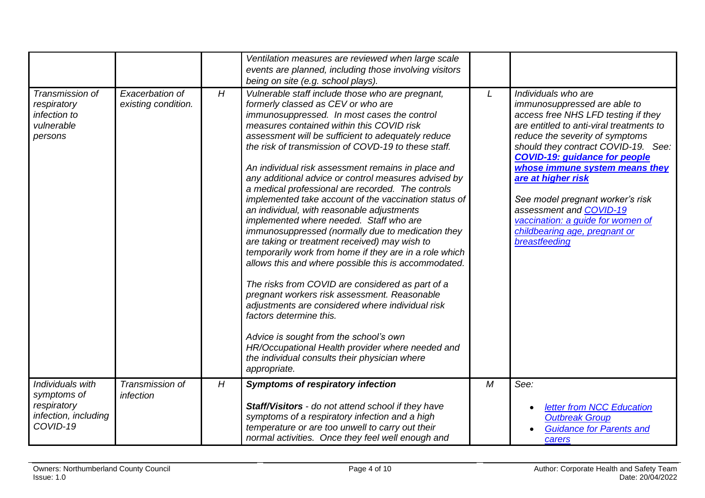|                                                                                    |                                        |   | Ventilation measures are reviewed when large scale<br>events are planned, including those involving visitors<br>being on site (e.g. school plays).                                                                                                                                                                                                                                                                                                                                                                                                                                                                                                                                                                                                                                                                                                                                                                                                                                                                                                                                                                                                                                             |   |                                                                                                                                                                                                                                                                                                                                                                                                                                                                        |
|------------------------------------------------------------------------------------|----------------------------------------|---|------------------------------------------------------------------------------------------------------------------------------------------------------------------------------------------------------------------------------------------------------------------------------------------------------------------------------------------------------------------------------------------------------------------------------------------------------------------------------------------------------------------------------------------------------------------------------------------------------------------------------------------------------------------------------------------------------------------------------------------------------------------------------------------------------------------------------------------------------------------------------------------------------------------------------------------------------------------------------------------------------------------------------------------------------------------------------------------------------------------------------------------------------------------------------------------------|---|------------------------------------------------------------------------------------------------------------------------------------------------------------------------------------------------------------------------------------------------------------------------------------------------------------------------------------------------------------------------------------------------------------------------------------------------------------------------|
| Transmission of<br>respiratory<br>infection to<br>vulnerable<br>persons            | Exacerbation of<br>existing condition. | H | Vulnerable staff include those who are pregnant,<br>formerly classed as CEV or who are<br>immunosuppressed. In most cases the control<br>measures contained within this COVID risk<br>assessment will be sufficient to adequately reduce<br>the risk of transmission of COVD-19 to these staff.<br>An individual risk assessment remains in place and<br>any additional advice or control measures advised by<br>a medical professional are recorded. The controls<br>implemented take account of the vaccination status of<br>an individual, with reasonable adjustments<br>implemented where needed. Staff who are<br>immunosuppressed (normally due to medication they<br>are taking or treatment received) may wish to<br>temporarily work from home if they are in a role which<br>allows this and where possible this is accommodated.<br>The risks from COVID are considered as part of a<br>pregnant workers risk assessment. Reasonable<br>adjustments are considered where individual risk<br>factors determine this.<br>Advice is sought from the school's own<br>HR/Occupational Health provider where needed and<br>the individual consults their physician where<br>appropriate. | L | Individuals who are<br>immunosuppressed are able to<br>access free NHS LFD testing if they<br>are entitled to anti-viral treatments to<br>reduce the severity of symptoms<br>should they contract COVID-19. See:<br><b>COVID-19: guidance for people</b><br>whose immune system means they<br>are at higher risk<br>See model pregnant worker's risk<br>assessment and COVID-19<br>vaccination: a guide for women of<br>childbearing age, pregnant or<br>breastfeeding |
| Individuals with<br>symptoms of<br>respiratory<br>infection, including<br>COVID-19 | Transmission of<br>infection           | H | <b>Symptoms of respiratory infection</b><br>Staff/Visitors - do not attend school if they have<br>symptoms of a respiratory infection and a high<br>temperature or are too unwell to carry out their<br>normal activities. Once they feel well enough and                                                                                                                                                                                                                                                                                                                                                                                                                                                                                                                                                                                                                                                                                                                                                                                                                                                                                                                                      | M | See:<br>letter from NCC Education<br><b>Outbreak Group</b><br><b>Guidance for Parents and</b><br>carers                                                                                                                                                                                                                                                                                                                                                                |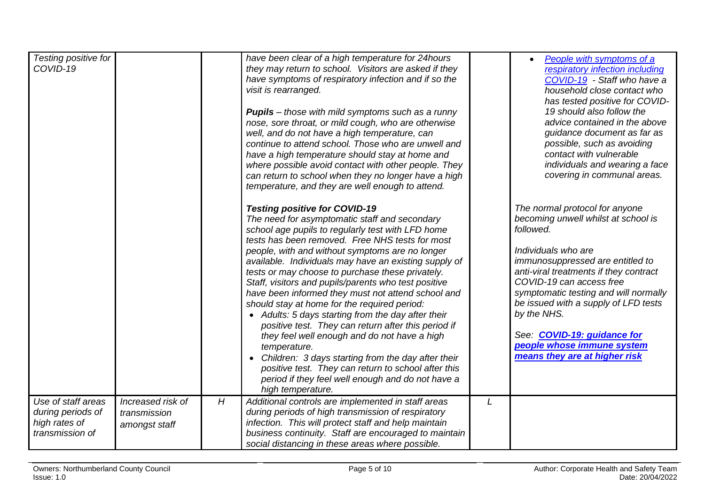| Testing positive for<br>COVID-19                                            |                                                    |   | have been clear of a high temperature for 24hours<br>they may return to school. Visitors are asked if they<br>have symptoms of respiratory infection and if so the<br>visit is rearranged.<br><b>Pupils</b> – those with mild symptoms such as a runny<br>nose, sore throat, or mild cough, who are otherwise<br>well, and do not have a high temperature, can<br>continue to attend school. Those who are unwell and<br>have a high temperature should stay at home and<br>where possible avoid contact with other people. They<br>can return to school when they no longer have a high<br>temperature, and they are well enough to attend.                                                                                                                                                                                                                                                                 |   | People with symptoms of a<br>respiratory infection including<br>COVID-19 - Staff who have a<br>household close contact who<br>has tested positive for COVID-<br>19 should also follow the<br>advice contained in the above<br>guidance document as far as<br>possible, such as avoiding<br>contact with vulnerable<br>individuals and wearing a face<br>covering in communal areas.                               |
|-----------------------------------------------------------------------------|----------------------------------------------------|---|--------------------------------------------------------------------------------------------------------------------------------------------------------------------------------------------------------------------------------------------------------------------------------------------------------------------------------------------------------------------------------------------------------------------------------------------------------------------------------------------------------------------------------------------------------------------------------------------------------------------------------------------------------------------------------------------------------------------------------------------------------------------------------------------------------------------------------------------------------------------------------------------------------------|---|-------------------------------------------------------------------------------------------------------------------------------------------------------------------------------------------------------------------------------------------------------------------------------------------------------------------------------------------------------------------------------------------------------------------|
|                                                                             |                                                    |   | <b>Testing positive for COVID-19</b><br>The need for asymptomatic staff and secondary<br>school age pupils to regularly test with LFD home<br>tests has been removed. Free NHS tests for most<br>people, with and without symptoms are no longer<br>available. Individuals may have an existing supply of<br>tests or may choose to purchase these privately.<br>Staff, visitors and pupils/parents who test positive<br>have been informed they must not attend school and<br>should stay at home for the required period:<br>• Adults: 5 days starting from the day after their<br>positive test. They can return after this period if<br>they feel well enough and do not have a high<br>temperature.<br>Children: 3 days starting from the day after their<br>$\bullet$<br>positive test. They can return to school after this<br>period if they feel well enough and do not have a<br>high temperature. |   | The normal protocol for anyone<br>becoming unwell whilst at school is<br>followed.<br>Individuals who are<br>immunosuppressed are entitled to<br>anti-viral treatments if they contract<br>COVID-19 can access free<br>symptomatic testing and will normally<br>be issued with a supply of LFD tests<br>by the NHS.<br>See: COVID-19: guidance for<br>people whose immune system<br>means they are at higher risk |
| Use of staff areas<br>during periods of<br>high rates of<br>transmission of | Increased risk of<br>transmission<br>amongst staff | H | Additional controls are implemented in staff areas<br>during periods of high transmission of respiratory<br>infection. This will protect staff and help maintain<br>business continuity. Staff are encouraged to maintain<br>social distancing in these areas where possible.                                                                                                                                                                                                                                                                                                                                                                                                                                                                                                                                                                                                                                | L |                                                                                                                                                                                                                                                                                                                                                                                                                   |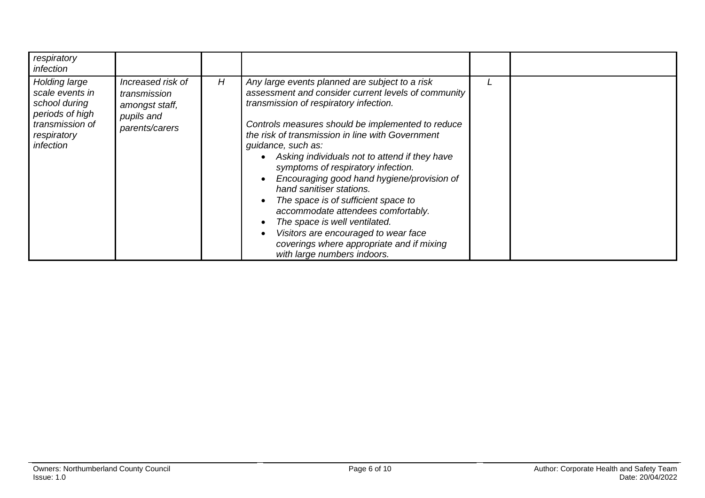| respiratory<br>infection                                                                                            |                                                                                     |   |                                                                                                                                                                                                                                                                                                                                                                                                                                                                                                                                                                                                                                                                                   |  |
|---------------------------------------------------------------------------------------------------------------------|-------------------------------------------------------------------------------------|---|-----------------------------------------------------------------------------------------------------------------------------------------------------------------------------------------------------------------------------------------------------------------------------------------------------------------------------------------------------------------------------------------------------------------------------------------------------------------------------------------------------------------------------------------------------------------------------------------------------------------------------------------------------------------------------------|--|
| Holding large<br>scale events in<br>school during<br>periods of high<br>transmission of<br>respiratory<br>infection | Increased risk of<br>transmission<br>amongst staff,<br>pupils and<br>parents/carers | Η | Any large events planned are subject to a risk<br>assessment and consider current levels of community<br>transmission of respiratory infection.<br>Controls measures should be implemented to reduce<br>the risk of transmission in line with Government<br>guidance, such as:<br>Asking individuals not to attend if they have<br>symptoms of respiratory infection.<br>Encouraging good hand hygiene/provision of<br>hand sanitiser stations.<br>The space is of sufficient space to<br>accommodate attendees comfortably.<br>The space is well ventilated.<br>Visitors are encouraged to wear face<br>coverings where appropriate and if mixing<br>with large numbers indoors. |  |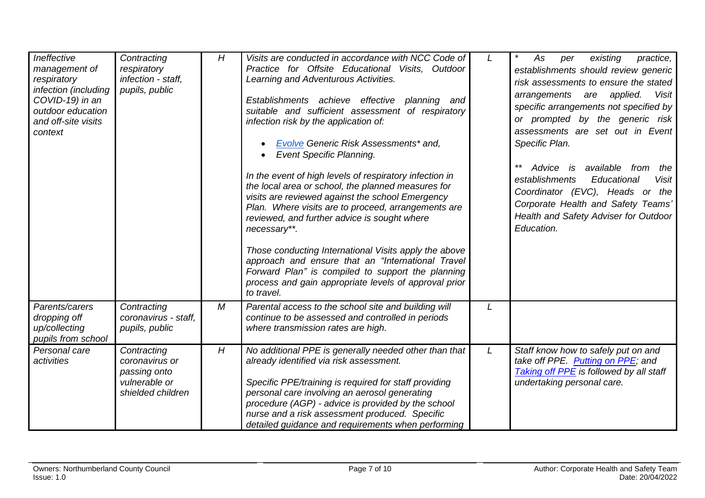| Ineffective<br>management of<br>respiratory<br>infection (including<br>COVID-19) in an<br>outdoor education<br>and off-site visits<br>context | Contracting<br>respiratory<br>infection - staff,<br>pupils, public                  | H | Visits are conducted in accordance with NCC Code of<br>Practice for Offsite Educational Visits, Outdoor<br>Learning and Adventurous Activities.<br>Establishments achieve effective<br>planning<br>and<br>suitable and sufficient assessment of respiratory<br>infection risk by the application of:<br>Evolve Generic Risk Assessments* and,<br><b>Event Specific Planning.</b><br>$\bullet$<br>In the event of high levels of respiratory infection in<br>the local area or school, the planned measures for<br>visits are reviewed against the school Emergency<br>Plan. Where visits are to proceed, arrangements are<br>reviewed, and further advice is sought where<br>necessary**.<br>Those conducting International Visits apply the above<br>approach and ensure that an "International Travel<br>Forward Plan" is compiled to support the planning<br>process and gain appropriate levels of approval prior<br>to travel. |   | As<br>existing<br>practice,<br>per<br>establishments should review generic<br>risk assessments to ensure the stated<br>arrangements are applied.<br>Visit<br>specific arrangements not specified by<br>or prompted by the generic risk<br>assessments are set out in Event<br>Specific Plan.<br>$***$<br>Advice is available<br>from<br>the<br>establishments<br>Educational<br><b>Visit</b><br>Coordinator (EVC), Heads or the<br>Corporate Health and Safety Teams'<br>Health and Safety Adviser for Outdoor<br>Education. |
|-----------------------------------------------------------------------------------------------------------------------------------------------|-------------------------------------------------------------------------------------|---|-------------------------------------------------------------------------------------------------------------------------------------------------------------------------------------------------------------------------------------------------------------------------------------------------------------------------------------------------------------------------------------------------------------------------------------------------------------------------------------------------------------------------------------------------------------------------------------------------------------------------------------------------------------------------------------------------------------------------------------------------------------------------------------------------------------------------------------------------------------------------------------------------------------------------------------|---|------------------------------------------------------------------------------------------------------------------------------------------------------------------------------------------------------------------------------------------------------------------------------------------------------------------------------------------------------------------------------------------------------------------------------------------------------------------------------------------------------------------------------|
| Parents/carers<br>dropping off<br>up/collecting<br>pupils from school                                                                         | Contracting<br>coronavirus - staff,<br>pupils, public                               | М | Parental access to the school site and building will<br>continue to be assessed and controlled in periods<br>where transmission rates are high.                                                                                                                                                                                                                                                                                                                                                                                                                                                                                                                                                                                                                                                                                                                                                                                     | L |                                                                                                                                                                                                                                                                                                                                                                                                                                                                                                                              |
| Personal care<br>activities                                                                                                                   | Contracting<br>coronavirus or<br>passing onto<br>vulnerable or<br>shielded children | H | No additional PPE is generally needed other than that<br>already identified via risk assessment.<br>Specific PPE/training is required for staff providing<br>personal care involving an aerosol generating<br>procedure (AGP) - advice is provided by the school<br>nurse and a risk assessment produced. Specific<br>detailed guidance and requirements when performing                                                                                                                                                                                                                                                                                                                                                                                                                                                                                                                                                            | L | Staff know how to safely put on and<br>take off PPE. Putting on PPE; and<br>Taking off PPE is followed by all staff<br>undertaking personal care.                                                                                                                                                                                                                                                                                                                                                                            |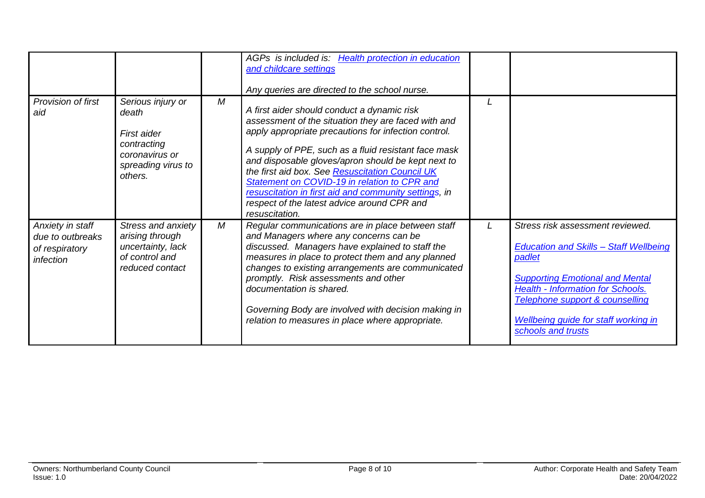|                                                                     |                                                                                                             |   | AGPs is included is: Health protection in education<br>and childcare settings<br>Any queries are directed to the school nurse.                                                                                                                                                                                                                                                                                                                                                                        |                                                                                                                                                                                                                                                                                    |
|---------------------------------------------------------------------|-------------------------------------------------------------------------------------------------------------|---|-------------------------------------------------------------------------------------------------------------------------------------------------------------------------------------------------------------------------------------------------------------------------------------------------------------------------------------------------------------------------------------------------------------------------------------------------------------------------------------------------------|------------------------------------------------------------------------------------------------------------------------------------------------------------------------------------------------------------------------------------------------------------------------------------|
| Provision of first<br>aid                                           | Serious injury or<br>death<br>First aider<br>contracting<br>coronavirus or<br>spreading virus to<br>others. | M | A first aider should conduct a dynamic risk<br>assessment of the situation they are faced with and<br>apply appropriate precautions for infection control.<br>A supply of PPE, such as a fluid resistant face mask<br>and disposable gloves/apron should be kept next to<br>the first aid box. See Resuscitation Council UK<br>Statement on COVID-19 in relation to CPR and<br>resuscitation in first aid and community settings, in<br>respect of the latest advice around CPR and<br>resuscitation. |                                                                                                                                                                                                                                                                                    |
| Anxiety in staff<br>due to outbreaks<br>of respiratory<br>infection | Stress and anxiety<br>arising through<br>uncertainty, lack<br>of control and<br>reduced contact             | M | Regular communications are in place between staff<br>and Managers where any concerns can be<br>discussed. Managers have explained to staff the<br>measures in place to protect them and any planned<br>changes to existing arrangements are communicated<br>promptly. Risk assessments and other<br>documentation is shared.<br>Governing Body are involved with decision making in<br>relation to measures in place where appropriate.                                                               | Stress risk assessment reviewed.<br><b>Education and Skills - Staff Wellbeing</b><br>padlet<br><b>Supporting Emotional and Mental</b><br><b>Health - Information for Schools.</b><br>Telephone support & counselling<br>Wellbeing guide for staff working in<br>schools and trusts |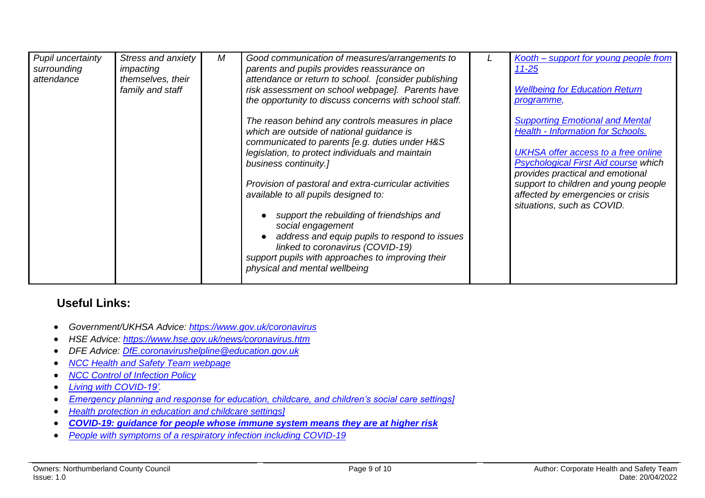| Pupil uncertainty<br>surrounding<br>attendance | Stress and anxiety<br>impacting<br>themselves, their<br>family and staff | М | Good communication of measures/arrangements to<br>parents and pupils provides reassurance on<br>attendance or return to school. [consider publishing<br>risk assessment on school webpage]. Parents have<br>the opportunity to discuss concerns with school staff.<br>The reason behind any controls measures in place | Kooth - support for young people from<br>$11 - 25$<br><b>Wellbeing for Education Return</b><br><u>programme,</u><br><b>Supporting Emotional and Mental</b>                                                                                                                           |
|------------------------------------------------|--------------------------------------------------------------------------|---|------------------------------------------------------------------------------------------------------------------------------------------------------------------------------------------------------------------------------------------------------------------------------------------------------------------------|--------------------------------------------------------------------------------------------------------------------------------------------------------------------------------------------------------------------------------------------------------------------------------------|
|                                                |                                                                          |   | which are outside of national guidance is<br>communicated to parents [e.g. duties under H&S<br>legislation, to protect individuals and maintain<br>business continuity.]<br>Provision of pastoral and extra-curricular activities<br>available to all pupils designed to:                                              | <b>Health - Information for Schools.</b><br><b>UKHSA</b> offer access to a free online<br><b>Psychological First Aid course which</b><br>provides practical and emotional<br>support to children and young people<br>affected by emergencies or crisis<br>situations, such as COVID. |
|                                                |                                                                          |   | support the rebuilding of friendships and<br>social engagement<br>address and equip pupils to respond to issues<br>linked to coronavirus (COVID-19)<br>support pupils with approaches to improving their<br>physical and mental wellbeing                                                                              |                                                                                                                                                                                                                                                                                      |

## **Useful Links:**

- *Government/UKHSA Advice:<https://www.gov.uk/coronavirus>*
- *HSE Advice:<https://www.hse.gov.uk/news/coronavirus.htm>*
- *DFE Advice: [DfE.coronavirushelpline@education.gov.uk](mailto:DfE.coronavirushelpline@education.gov.uk)*
- *[NCC Health and Safety Team webpage](https://www.northumberland.gov.uk/About/Staff.aspx#staffhealthsafety)*
- *[NCC Control of Infection Policy](https://www.northumberland.gov.uk/NorthumberlandCountyCouncil/media/About-the-Council/Staff%20Information/Health%20and%20safety/Policy%20Documents%20and%20Guidance/Control-of-Infection-Policy-August-2013-HR-Policy.docx)*
- *[Living with COVID-19'.](https://gbr01.safelinks.protection.outlook.com/?url=https%3A%2F%2Fwww.gov.uk%2Fgovernment%2Fpublications%2Fcovid-19-response-living-with-covid-19%3Futm_source%3D24%2520February%25202022%2520C19%26utm_medium%3DDaily%2520Email%2520C19%26utm_campaign%3DDfE%2520C19&data=04%7C01%7Camanda.young%40northumberland.gov.uk%7Cc9a58d3c39634196a28c08d9f7a7b703%7Cbb13a9de829042f0a980dc3bdfe70f40%7C0%7C0%7C637813121968899616%7CUnknown%7CTWFpbGZsb3d8eyJWIjoiMC4wLjAwMDAiLCJQIjoiV2luMzIiLCJBTiI6Ik1haWwiLCJXVCI6Mn0%3D%7C3000&sdata=rE6WYoaFvmXqgnu%2Fsr3mkg39qkFr0%2B1N1jmYpfck6oI%3D&reserved=0)*
- *[Emergency planning and response for education, childcare, and children's social care settings\]](https://assets.publishing.service.gov.uk/government/uploads/system/uploads/attachment_data/file/1067450/Emergency_planning_and_response_for_education__childcare__and_children_s_social_care_settings.pdf)*
- *[Health protection in education and childcare settings\]](https://www.gov.uk/government/publications/health-protection-in-schools-and-other-childcare-facilities#full-publication-update-history)*
- *[COVID-19: guidance for people whose immune system means they are at higher risk](https://www.gov.uk/government/publications/covid-19-guidance-for-people-whose-immune-system-means-they-are-at-higher-risk/covid-19-guidance-for-people-whose-immune-system-means-they-are-at-higher-risk)*
- *[People with symptoms of a respiratory infection including COVID-19](https://www.gov.uk/guidance/people-with-symptoms-of-a-respiratory-infection-including-covid-19)*